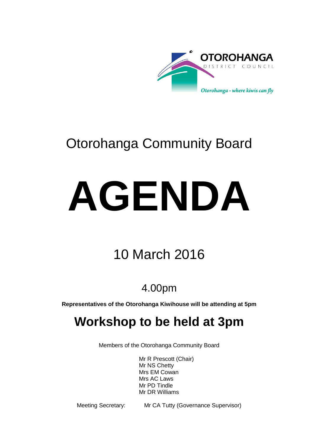

# Otorohanga Community Board

# **AGENDA**

# 10 March 2016

## 4.00pm

**Representatives of the Otorohanga Kiwihouse will be attending at 5pm**

## **Workshop to be held at 3pm**

Members of the Otorohanga Community Board

Mr R Prescott (Chair) Mr NS Chetty Mrs EM Cowan Mrs AC Laws Mr PD Tindle Mr DR Williams

Meeting Secretary: Mr CA Tutty (Governance Supervisor)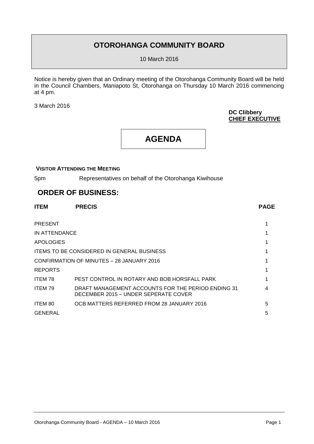## **OTOROHANGA COMMUNITY BOARD**

10 March 2016

Notice is hereby given that an Ordinary meeting of the Otorohanga Community Board will be held in the Council Chambers, Maniapoto St, Otorohanga on Thursday 10 March 2016 commencing at 4 pm.

3 March 2016

#### **DC Clibbery CHIEF EXECUTIVE**

## **AGENDA**

#### **VISITOR ATTENDING THE MEETING**

5pm Representatives on behalf of the Otorohanga Kiwihouse

### **ORDER OF BUSINESS:**

| <b>ITEM</b>                                       | <b>PRECIS</b>                                                                              | <b>PAGE</b> |
|---------------------------------------------------|--------------------------------------------------------------------------------------------|-------------|
| <b>PRESENT</b>                                    |                                                                                            |             |
| IN ATTENDANCE                                     |                                                                                            |             |
| <b>APOLOGIES</b>                                  |                                                                                            |             |
| <b>ITEMS TO BE CONSIDERED IN GENERAL BUSINESS</b> |                                                                                            |             |
| CONFIRMATION OF MINUTES - 28 JANUARY 2016         |                                                                                            |             |
| <b>REPORTS</b>                                    |                                                                                            |             |
| ITEM 78                                           | PEST CONTROL IN ROTARY AND BOB HORSFALL PARK                                               |             |
| ITEM 79                                           | DRAFT MANAGEMENT ACCOUNTS FOR THE PERIOD ENDING 31<br>DECEMBER 2015 – UNDER SEPERATE COVER |             |
| ITEM 80                                           | OCB MATTERS REFERRED FROM 28 JANUARY 2016                                                  | 5           |
| GENERAL                                           |                                                                                            | 5           |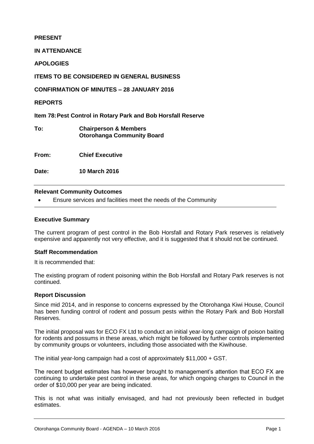#### **PRESENT**

**IN ATTENDANCE**

**APOLOGIES**

**ITEMS TO BE CONSIDERED IN GENERAL BUSINESS**

**CONFIRMATION OF MINUTES – 28 JANUARY 2016**

**REPORTS**

**Item 78:Pest Control in Rotary Park and Bob Horsfall Reserve**

**To: Chairperson & Members Otorohanga Community Board**

**From: Chief Executive**

**Date: 10 March 2016**

#### **Relevant Community Outcomes**

Ensure services and facilities meet the needs of the Community

#### **Executive Summary**

The current program of pest control in the Bob Horsfall and Rotary Park reserves is relatively expensive and apparently not very effective, and it is suggested that it should not be continued.

#### **Staff Recommendation**

It is recommended that:

The existing program of rodent poisoning within the Bob Horsfall and Rotary Park reserves is not continued.

#### **Report Discussion**

Since mid 2014, and in response to concerns expressed by the Otorohanga Kiwi House, Council has been funding control of rodent and possum pests within the Rotary Park and Bob Horsfall Reserves.

The initial proposal was for ECO FX Ltd to conduct an initial year-long campaign of poison baiting for rodents and possums in these areas, which might be followed by further controls implemented by community groups or volunteers, including those associated with the Kiwihouse.

The initial year-long campaign had a cost of approximately \$11,000 + GST.

The recent budget estimates has however brought to management's attention that ECO FX are continuing to undertake pest control in these areas, for which ongoing charges to Council in the order of \$10,000 per year are being indicated.

This is not what was initially envisaged, and had not previously been reflected in budget estimates.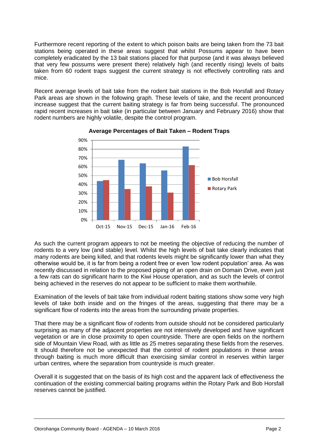Furthermore recent reporting of the extent to which poison baits are being taken from the 73 bait stations being operated in these areas suggest that whilst Possums appear to have been completely eradicated by the 13 bait stations placed for that purpose (and it was always believed that very few possums were present there) relatively high (and recently rising) levels of baits taken from 60 rodent traps suggest the current strategy is not effectively controlling rats and mice.

Recent average levels of bait take from the rodent bait stations in the Bob Horsfall and Rotary Park areas are shown in the following graph. These levels of take, and the recent pronounced increase suggest that the current baiting strategy is far from being successful. The pronounced rapid recent increases in bait take (in particular between January and February 2016) show that rodent numbers are highly volatile, despite the control program.



**Average Percentages of Bait Taken – Rodent Traps**

As such the current program appears to not be meeting the objective of reducing the number of rodents to a very low (and stable) level. Whilst the high levels of bait take clearly indicates that many rodents are being killed, and that rodents levels might be significantly lower than what they otherwise would be, it is far from being a rodent free or even 'low rodent population' area. As was recently discussed in relation to the proposed piping of an open drain on Domain Drive, even just a few rats can do significant harm to the Kiwi House operation, and as such the levels of control being achieved in the reserves do not appear to be sufficient to make them worthwhile.

Examination of the levels of bait take from individual rodent baiting stations show some very high levels of take both inside and on the fringes of the areas, suggesting that there may be a significant flow of rodents into the areas from the surrounding private properties.

That there may be a significant flow of rodents from outside should not be considered particularly surprising as many of the adjacent properties are not intensively developed and have significant vegetation or are in close proximity to open countryside. There are open fields on the northern side of Mountain View Road, with as little as 25 metres separating these fields from the reserves. It should therefore not be unexpected that the control of rodent populations in these areas through baiting is much more difficult than exercising similar control in reserves within larger urban centres, where the separation from countryside is much greater.

Overall it is suggested that on the basis of its high cost and the apparent lack of effectiveness the continuation of the existing commercial baiting programs within the Rotary Park and Bob Horsfall reserves cannot be justified.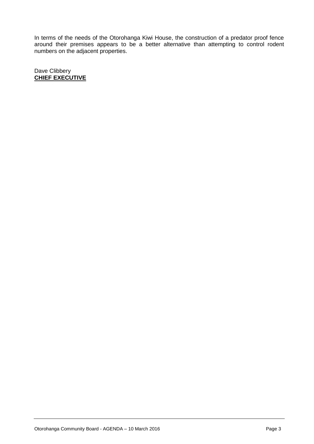In terms of the needs of the Otorohanga Kiwi House, the construction of a predator proof fence around their premises appears to be a better alternative than attempting to control rodent numbers on the adjacent properties.

Dave Clibbery **CHIEF EXECUTIVE**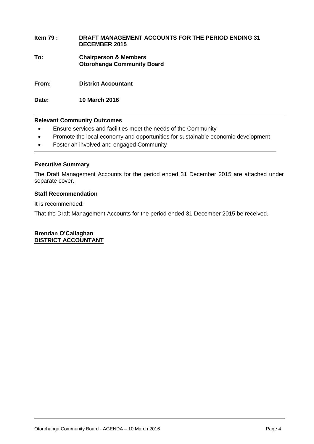#### **Item 79 : DRAFT MANAGEMENT ACCOUNTS FOR THE PERIOD ENDING 31 DECEMBER 2015**

**To: Chairperson & Members Otorohanga Community Board**

**From: District Accountant**

**Date: 10 March 2016**

#### **Relevant Community Outcomes**

- Ensure services and facilities meet the needs of the Community
- Promote the local economy and opportunities for sustainable economic development
- Foster an involved and engaged Community

#### **Executive Summary**

The Draft Management Accounts for the period ended 31 December 2015 are attached under separate cover.

#### **Staff Recommendation**

It is recommended:

That the Draft Management Accounts for the period ended 31 December 2015 be received.

**Brendan O'Callaghan DISTRICT ACCOUNTANT**